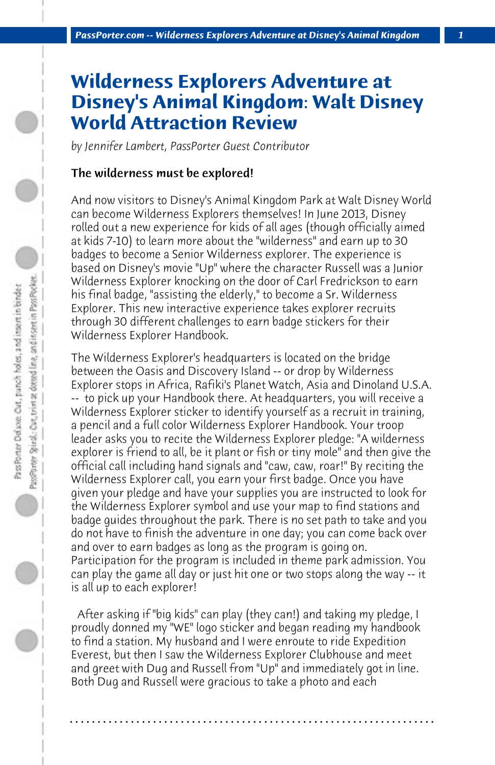## **Wilderness Explorers Adventure at Disney's Animal Kingdom: Walt Disney World Attraction Review**

*by Jennifer Lambert, PassPorter Guest Contributor*

## The wilderness must be explored!

And now visitors to Disney's Animal Kingdom Park at Walt Disney World can become Wilderness Explorers themselves! In June 2013, Disney rolled out a new experience for kids of all ages (though officially aimed at kids 7-10) to learn more about the "wilderness" and earn up to 30 badges to become a Senior Wilderness explorer. The experience is based on Disney's movie "Up" where the character Russell was a Junior Wilderness Explorer knocking on the door of Carl Fredrickson to earn his final badge, "assisting the elderly," to become a Sr. Wilderness Explorer. This new interactive experience takes explorer recruits through 30 different challenges to earn badge stickers for their Wilderness Explorer Handbook.

The Wilderness Explorer's headquarters is located on the bridge between the Oasis and Discovery Island -- or drop by Wilderness Explorer stops in Africa, Rafiki's Planet Watch, Asia and Dinoland U.S.A. -- to pick up your Handbook there. At headquarters, you will receive a Wilderness Explorer sticker to identify yourself as a recruit in training, a pencil and a full color Wilderness Explorer Handbook. Your troop leader asks you to recite the Wilderness Explorer pledge: "A wilderness explorer is friend to all, be it plant or fish or tiny mole" and then give the official call including hand signals and "caw, caw, roar!" By reciting the Wilderness Explorer call, you earn your first badge. Once you have given your pledge and have your supplies you are instructed to look for the Wilderness Explorer symbol and use your map to find stations and badge guides throughout the park. There is no set path to take and you do not have to finish the adventure in one day; you can come back over and over to earn badges as long as the program is going on. Participation for the program is included in theme park admission. You can play the game all day or just hit one or two stops along the way -- it is all up to each explorer!

 After asking if "big kids" can play (they can!) and taking my pledge, I proudly donned my "WE" logo sticker and began reading my handbook to find a station. My husband and I were enroute to ride Expedition Everest, but then I saw the Wilderness Explorer Clubhouse and meet and greet with Dug and Russell from "Up" and immediately got in line. Both Dug and Russell were gracious to take a photo and each

**. . . . . . . . . . . . . . . . . . . . . . . . . . . . . . . . . . . . . . . . . . . . . . . . . . . . . . . . . . . . . . . . . .**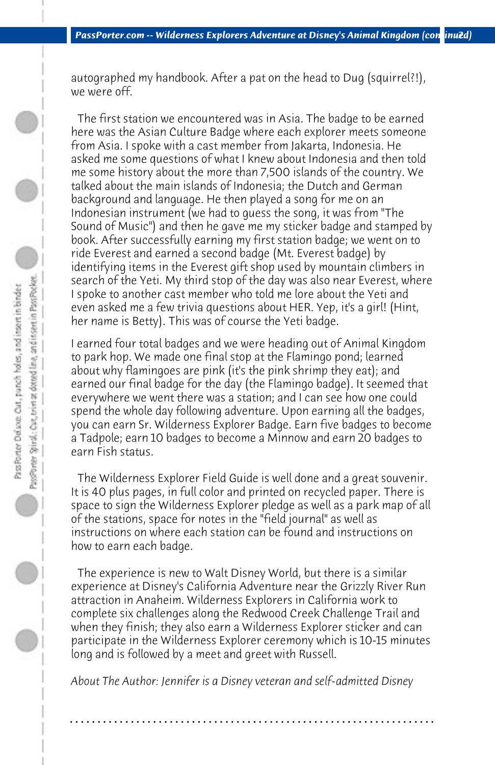autographed my handbook. After a pat on the head to Dug (squirrel?!), we were off.

 The first station we encountered was in Asia. The badge to be earned here was the Asian Culture Badge where each explorer meets someone from Asia. I spoke with a cast member from Jakarta, Indonesia. He asked me some questions of what I knew about Indonesia and then told me some history about the more than 7,500 islands of the country. We talked about the main islands of Indonesia; the Dutch and German background and language. He then played a song for me on an Indonesian instrument (we had to guess the song, it was from "The Sound of Music") and then he gave me my sticker badge and stamped by book. After successfully earning my first station badge; we went on to ride Everest and earned a second badge (Mt. Everest badge) by identifying items in the Everest gift shop used by mountain climbers in search of the Yeti. My third stop of the day was also near Everest, where I spoke to another cast member who told me lore about the Yeti and even asked me a few trivia questions about HER. Yep, it's a girl! (Hint, her name is Betty). This was of course the Yeti badge.

I earned four total badges and we were heading out of Animal Kingdom to park hop. We made one final stop at the Flamingo pond; learned about why flamingoes are pink (it's the pink shrimp they eat); and earned our final badge for the day (the Flamingo badge). It seemed that everywhere we went there was a station; and I can see how one could spend the whole day following adventure. Upon earning all the badges, you can earn Sr. Wilderness Explorer Badge. Earn five badges to become a Tadpole; earn 10 badges to become a Minnow and earn 20 badges to earn Fish status.

 The Wilderness Explorer Field Guide is well done and a great souvenir. It is 40 plus pages, in full color and printed on recycled paper. There is space to sign the Wilderness Explorer pledge as well as a park map of all of the stations, space for notes in the "field journal" as well as instructions on where each station can be found and instructions on how to earn each badge.

 The experience is new to Walt Disney World, but there is a similar experience at Disney's California Adventure near the Grizzly River Run attraction in Anaheim. Wilderness Explorers in California work to complete six challenges along the Redwood Creek Challenge Trail and when they finish; they also earn a Wilderness Explorer sticker and can participate in the Wilderness Explorer ceremony which is 10-15 minutes long and is followed by a meet and greet with Russell.

*About The Author: Jennifer is a Disney veteran and self-admitted Disney*

**. . . . . . . . . . . . . . . . . . . . . . . . . . . . . . . . . . . . . . . . . . . . . . . . . . . . . . . . . . . . . . . . . .**